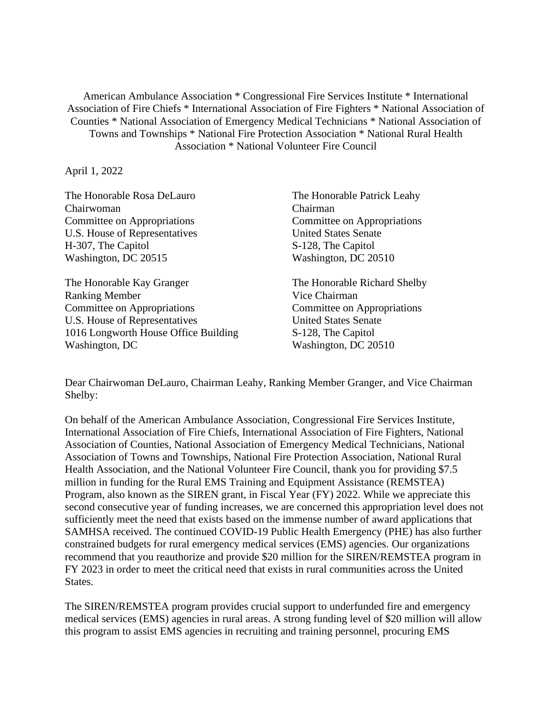American Ambulance Association \* Congressional Fire Services Institute \* International Association of Fire Chiefs \* International Association of Fire Fighters \* National Association of Counties \* National Association of Emergency Medical Technicians \* National Association of Towns and Townships \* National Fire Protection Association \* National Rural Health Association \* National Volunteer Fire Council

April 1, 2022

The Honorable Rosa DeLauro Chairwoman Committee on Appropriations U.S. House of Representatives H-307, The Capitol Washington, DC 20515

The Honorable Kay Granger Ranking Member Committee on Appropriations U.S. House of Representatives 1016 Longworth House Office Building Washington, DC

The Honorable Patrick Leahy Chairman Committee on Appropriations United States Senate S-128, The Capitol Washington, DC 20510

The Honorable Richard Shelby Vice Chairman Committee on Appropriations United States Senate S-128, The Capitol Washington, DC 20510

Dear Chairwoman DeLauro, Chairman Leahy, Ranking Member Granger, and Vice Chairman Shelby:

On behalf of the American Ambulance Association, Congressional Fire Services Institute, International Association of Fire Chiefs, International Association of Fire Fighters, National Association of Counties, National Association of Emergency Medical Technicians, National Association of Towns and Townships, National Fire Protection Association, National Rural Health Association, and the National Volunteer Fire Council, thank you for providing \$7.5 million in funding for the Rural EMS Training and Equipment Assistance (REMSTEA) Program, also known as the SIREN grant, in Fiscal Year (FY) 2022. While we appreciate this second consecutive year of funding increases, we are concerned this appropriation level does not sufficiently meet the need that exists based on the immense number of award applications that SAMHSA received. The continued COVID-19 Public Health Emergency (PHE) has also further constrained budgets for rural emergency medical services (EMS) agencies. Our organizations recommend that you reauthorize and provide \$20 million for the SIREN/REMSTEA program in FY 2023 in order to meet the critical need that exists in rural communities across the United States.

The SIREN/REMSTEA program provides crucial support to underfunded fire and emergency medical services (EMS) agencies in rural areas. A strong funding level of \$20 million will allow this program to assist EMS agencies in recruiting and training personnel, procuring EMS